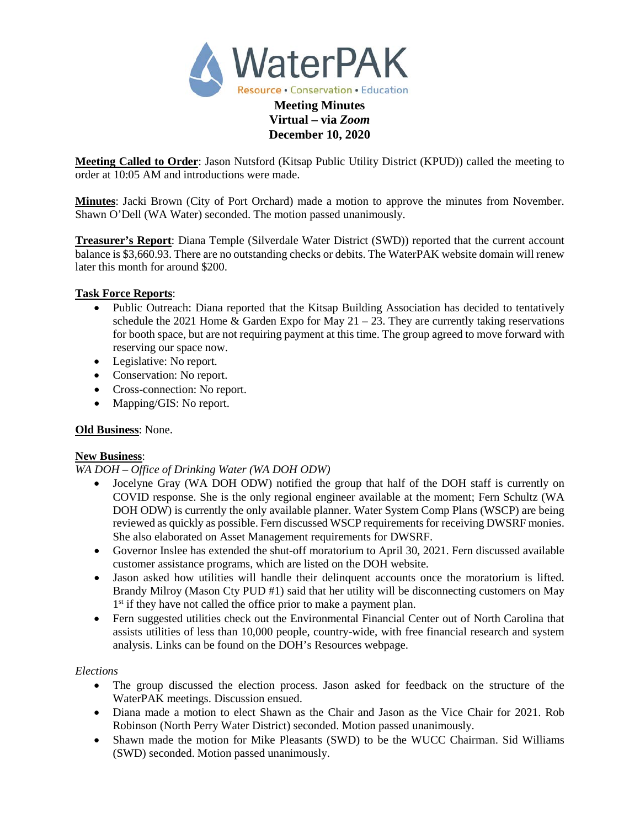

# **Virtual – via** *Zoom* **December 10, 2020**

**Meeting Called to Order**: Jason Nutsford (Kitsap Public Utility District (KPUD)) called the meeting to order at 10:05 AM and introductions were made.

**Minutes**: Jacki Brown (City of Port Orchard) made a motion to approve the minutes from November. Shawn O'Dell (WA Water) seconded. The motion passed unanimously.

**Treasurer's Report**: Diana Temple (Silverdale Water District (SWD)) reported that the current account balance is \$3,660.93. There are no outstanding checks or debits. The WaterPAK website domain will renew later this month for around \$200.

# **Task Force Reports**:

- Public Outreach: Diana reported that the Kitsap Building Association has decided to tentatively schedule the 2021 Home & Garden Expo for May  $21 - 23$ . They are currently taking reservations for booth space, but are not requiring payment at this time. The group agreed to move forward with reserving our space now.
- Legislative: No report.
- Conservation: No report.
- Cross-connection: No report.
- Mapping/GIS: No report.

### **Old Business**: None.

### **New Business**:

### *WA DOH – Office of Drinking Water (WA DOH ODW)*

- Jocelyne Gray (WA DOH ODW) notified the group that half of the DOH staff is currently on COVID response. She is the only regional engineer available at the moment; Fern Schultz (WA DOH ODW) is currently the only available planner. Water System Comp Plans (WSCP) are being reviewed as quickly as possible. Fern discussed WSCP requirements for receiving DWSRF monies. She also elaborated on Asset Management requirements for DWSRF.
- Governor Inslee has extended the shut-off moratorium to April 30, 2021. Fern discussed available customer assistance programs, which are listed on the DOH website.
- Jason asked how utilities will handle their delinquent accounts once the moratorium is lifted. Brandy Milroy (Mason Cty PUD #1) said that her utility will be disconnecting customers on May 1<sup>st</sup> if they have not called the office prior to make a payment plan.
- Fern suggested utilities check out the Environmental Financial Center out of North Carolina that assists utilities of less than 10,000 people, country-wide, with free financial research and system analysis. Links can be found on the DOH's Resources webpage.

### *Elections*

- The group discussed the election process. Jason asked for feedback on the structure of the WaterPAK meetings. Discussion ensued.
- Diana made a motion to elect Shawn as the Chair and Jason as the Vice Chair for 2021. Rob Robinson (North Perry Water District) seconded. Motion passed unanimously.
- Shawn made the motion for Mike Pleasants (SWD) to be the WUCC Chairman. Sid Williams (SWD) seconded. Motion passed unanimously.